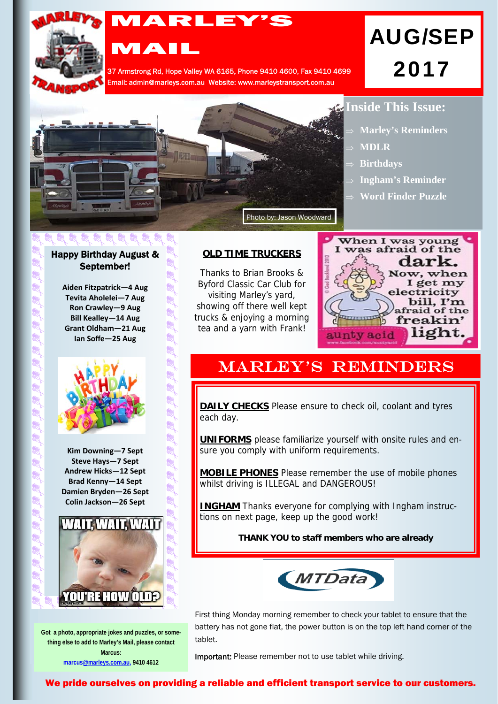

# MARLEY

**MAIL** 

37 Armstrong Rd, Hope Valley WA 6165, Phone 9410 4600, Fax 9410 4699 Email: admin@marleys.com.au Website: www.marleystransport.com.au

# AUG/SEP 2017



R

**CA** 

R

X

å.

Q. **Ce** 

**Ge Co Co Co GS CB** å.

## **Inside This Issue:**

- **Marley's Reminders**
- **MDLR**
- **Birthdays**
- **Ingham's Reminder**
- **Word Finder Puzzle**

# **CR**

### Happy Birthday August & September!

**Aiden Fitzpatrick—4 Aug Tevita Aholelei—7 Aug Ron Crawley—9 Aug Bill Kealley—14 Aug Grant Oldham—21 Aug Ian Soffe—25 Aug**



**Kim Downing—7 Sept Steve Hays—7 Sept Andrew Hicks—12 Sept Brad Kenny—14 Sept Damien Bryden—26 Sept Colin Jackson—26 Sept**



**Got a photo, appropriate jokes and puzzles, or something else to add to Marley's Mail, please contact Marcus: marcus[@marleys.com.au](mailto:ivana@marleys.com.au), 9410 4612**

### **OLD TIME TRUCKERS**

Thanks to Brian Brooks & Byford Classic Car Club for visiting Marley's yard, showing off there well kept trucks & enjoying a morning tea and a yarn with Frank!



## **MARLEY'S REMINDERS**

**DAILY CHECKS** Please ensure to check oil, coolant and tyres each day.

**UNIFORMS** please familiarize yourself with onsite rules and ensure you comply with uniform requirements.

**MOBILE PHONES** Please remember the use of mobile phones whilst driving is ILLEGAL and DANGEROUS!

**INGHAM** Thanks everyone for complying with Ingham instructions on next page, keep up the good work!

**THANK YOU to staff members who are already** 



First thing Monday morning remember to check your tablet to ensure that the battery has not gone flat, the power button is on the top left hand corner of the tablet.

Important: Please remember not to use tablet while driving.